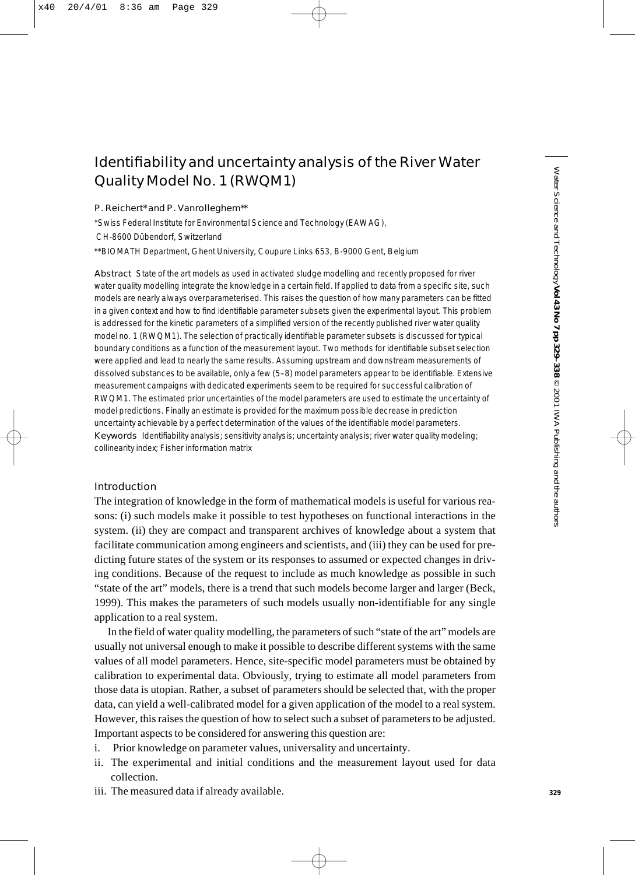# Identifiability and uncertainty analysis of the River Water Quality Model No. 1 (RWQM1)

#### P. Reichert\* and P. Vanrolleghem\*\*

\*Swiss Federal Institute for Environmental Science and Technology (EAWAG),

CH-8600 Dübendorf, Switzerland

\*\*BIOMATH Department, Ghent University, Coupure Links 653, B-9000 Gent, Belgium

Abstract State of the art models as used in activated sludge modelling and recently proposed for river water quality modelling integrate the knowledge in a certain field. If applied to data from a specific site, such models are nearly always overparameterised. This raises the question of how many parameters can be fitted in a given context and how to find identifiable parameter subsets given the experimental layout. This problem is addressed for the kinetic parameters of a simplified version of the recently published river water quality model no. 1 (RWQM1). The selection of practically identifiable parameter subsets is discussed for typical boundary conditions as a function of the measurement layout. Two methods for identifiable subset selection were applied and lead to nearly the same results. Assuming upstream and downstream measurements of dissolved substances to be available, only a few (5–8) model parameters appear to be identifiable. Extensive measurement campaigns with dedicated experiments seem to be required for successful calibration of RWQM1. The estimated prior uncertainties of the model parameters are used to estimate the uncertainty of model predictions. Finally an estimate is provided for the maximum possible decrease in prediction uncertainty achievable by a perfect determination of the values of the identifiable model parameters. Keywords Identifiability analysis; sensitivity analysis; uncertainty analysis; river water quality modeling; collinearity index; Fisher information matrix

# Introduction

The integration of knowledge in the form of mathematical models is useful for various reasons: (i) such models make it possible to test hypotheses on functional interactions in the system. (ii) they are compact and transparent archives of knowledge about a system that facilitate communication among engineers and scientists, and (iii) they can be used for predicting future states of the system or its responses to assumed or expected changes in driving conditions. Because of the request to include as much knowledge as possible in such "state of the art" models, there is a trend that such models become larger and larger (Beck, 1999). This makes the parameters of such models usually non-identifiable for any single application to a real system.

In the field of water quality modelling, the parameters of such "state of the art" models are usually not universal enough to make it possible to describe different systems with the same values of all model parameters. Hence, site-specific model parameters must be obtained by calibration to experimental data. Obviously, trying to estimate all model parameters from those data is utopian. Rather, a subset of parameters should be selected that, with the proper data, can yield a well-calibrated model for a given application of the model to a real system. However, this raises the question of how to select such a subset of parameters to be adjusted. Important aspects to be considered for answering this question are:

- i. Prior knowledge on parameter values, universality and uncertainty.
- ii. The experimental and initial conditions and the measurement layout used for data collection.
- iii. The measured data if already available.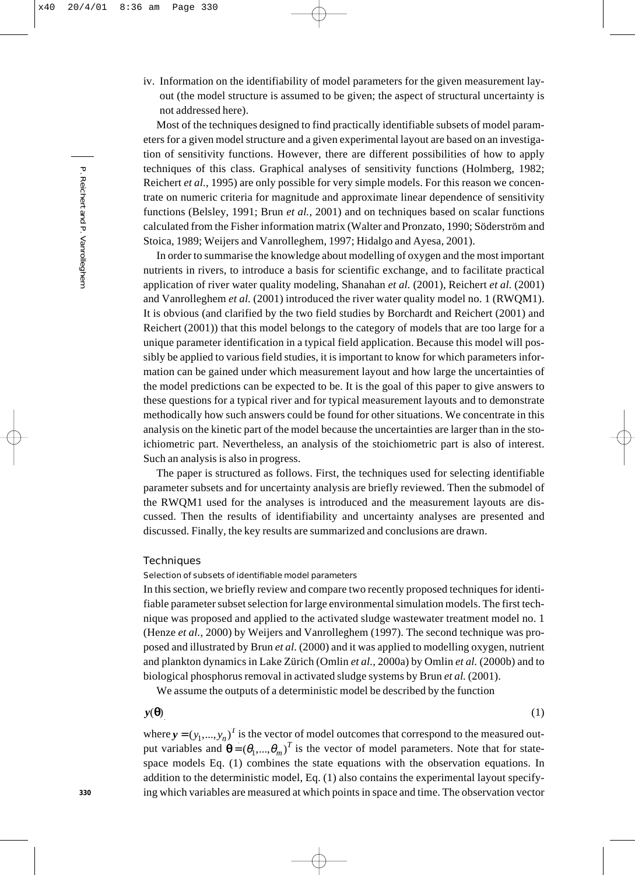iv. Information on the identifiability of model parameters for the given measurement layout (the model structure is assumed to be given; the aspect of structural uncertainty is not addressed here).

Most of the techniques designed to find practically identifiable subsets of model parameters for a given model structure and a given experimental layout are based on an investigation of sensitivity functions. However, there are different possibilities of how to apply techniques of this class. Graphical analyses of sensitivity functions (Holmberg, 1982; Reichert *et al.*, 1995) are only possible for very simple models. For this reason we concentrate on numeric criteria for magnitude and approximate linear dependence of sensitivity functions (Belsley, 1991; Brun *et al.*, 2001) and on techniques based on scalar functions calculated from the Fisher information matrix (Walter and Pronzato, 1990; Söderström and Stoica, 1989; Weijers and Vanrolleghem, 1997; Hidalgo and Ayesa, 2001).

In order to summarise the knowledge about modelling of oxygen and the most important nutrients in rivers, to introduce a basis for scientific exchange, and to facilitate practical application of river water quality modeling, Shanahan *et al.* (2001), Reichert *et al.* (2001) and Vanrolleghem *et al.* (2001) introduced the river water quality model no. 1 (RWQM1). It is obvious (and clarified by the two field studies by Borchardt and Reichert (2001) and Reichert (2001)) that this model belongs to the category of models that are too large for a unique parameter identification in a typical field application. Because this model will possibly be applied to various field studies, it is important to know for which parameters information can be gained under which measurement layout and how large the uncertainties of the model predictions can be expected to be. It is the goal of this paper to give answers to these questions for a typical river and for typical measurement layouts and to demonstrate methodically how such answers could be found for other situations. We concentrate in this analysis on the kinetic part of the model because the uncertainties are larger than in the stoichiometric part. Nevertheless, an analysis of the stoichiometric part is also of interest. Such an analysis is also in progress.

The paper is structured as follows. First, the techniques used for selecting identifiable parameter subsets and for uncertainty analysis are briefly reviewed. Then the submodel of the RWQM1 used for the analyses is introduced and the measurement layouts are discussed. Then the results of identifiability and uncertainty analyses are presented and discussed. Finally, the key results are summarized and conclusions are drawn.

## **Techniques**

# Selection of subsets of identifiable model parameters

In this section, we briefly review and compare two recently proposed techniques for identifiable parameter subset selection for large environmental simulation models. The first technique was proposed and applied to the activated sludge wastewater treatment model no. 1 (Henze *et al.*, 2000) by Weijers and Vanrolleghem (1997). The second technique was proposed and illustrated by Brun *et al.* (2000) and it was applied to modelling oxygen, nutrient and plankton dynamics in Lake Zürich (Omlin *et al.*, 2000a) by Omlin *et al.* (2000b) and to biological phosphorus removal in activated sludge systems by Brun *et al.* (2001).

We assume the outputs of a deterministic model be described by the function

 $y(\theta)$  (1)

where  $y = (y_1, ..., y_n)^T$  is the vector of model outcomes that correspond to the measured output variables and  $\mathbf{\theta} = (\theta_1, ..., \theta_m)^T$  is the vector of model parameters. Note that for statespace models Eq. (1) combines the state equations with the observation equations. In addition to the deterministic model, Eq. (1) also contains the experimental layout specifying which variables are measured at which points in space and time. The observation vector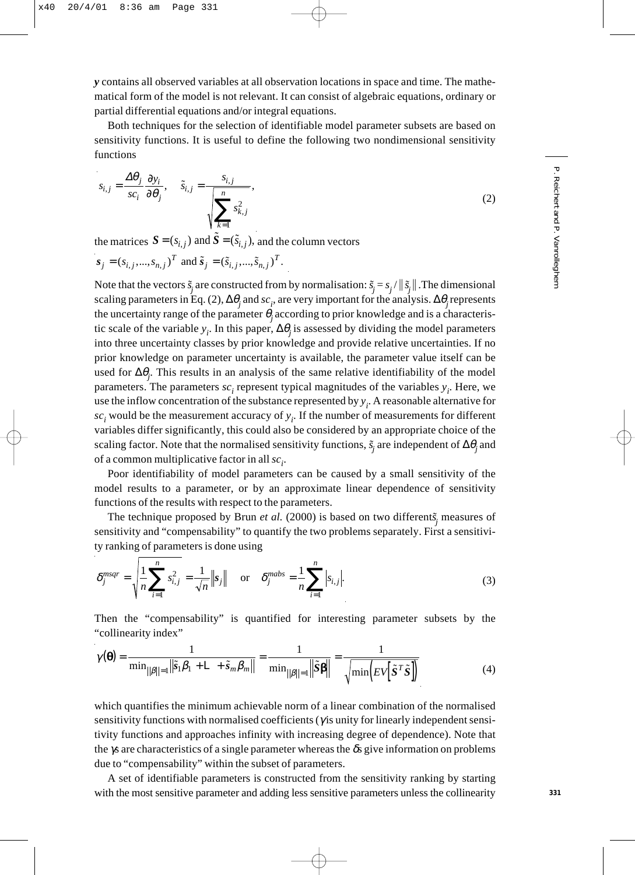*y* contains all observed variables at all observation locations in space and time. The mathematical form of the model is not relevant. It can consist of algebraic equations, ordinary or partial differential equations and/or integral equations.

Both techniques for the selection of identifiable model parameter subsets are based on sensitivity functions. It is useful to define the following two nondimensional sensitivity functions

$$
s_{i,j} = \frac{\Delta \theta_j}{sc_i} \frac{\partial y_i}{\partial \theta_j}, \quad \tilde{s}_{i,j} = \frac{s_{i,j}}{\sqrt{\sum_{k=1}^n s_{k,j}^2}},
$$
(2)

the matrices  $S = (s_{i,j})$  and  $\tilde{S} = (\tilde{s}_{i,j})$ , and the column vectors

$$
s_j = (s_{i,j},...,s_{n,j})^T
$$
 and  $\tilde{s}_j = (\tilde{s}_{i,j},...,\tilde{s}_{n,j})^T$ .

Note that the vectors  $\tilde{s}_j$  are constructed from by normalisation:  $\tilde{s}_j = s_j / ||\tilde{s}_j||$ . The dimensional scaling parameters in Eq. (2), ∆θ*<sup>j</sup>* and *sci* , are very important for the analysis. ∆θ*j* represents the uncertainty range of the parameter  $\theta_i$  according to prior knowledge and is a characteristic scale of the variable *yi* . In this paper, ∆θ*j* is assessed by dividing the model parameters into three uncertainty classes by prior knowledge and provide relative uncertainties. If no prior knowledge on parameter uncertainty is available, the parameter value itself can be used for ∆θ*<sup>j</sup>* . This results in an analysis of the same relative identifiability of the model parameters. The parameters  $sc<sub>i</sub>$  represent typical magnitudes of the variables  $y<sub>i</sub>$ . Here, we use the inflow concentration of the substance represented by  $y_i$ . A reasonable alternative for *sci* would be the measurement accuracy of *yi* . If the number of measurements for different variables differ significantly, this could also be considered by an appropriate choice of the scaling factor. Note that the normalised sensitivity functions,  $\tilde{s}_j$  are independent of  $\Delta\theta_j$  and of a common multiplicative factor in all  $\mathit{sc}_i$ .

Poor identifiability of model parameters can be caused by a small sensitivity of the model results to a parameter, or by an approximate linear dependence of sensitivity functions of the results with respect to the parameters.

The technique proposed by Brun *et al.* (2000) is based on two different $\tilde{s}_j$  measures of sensitivity and "compensability" to quantify the two problems separately. First a sensitivity ranking of parameters is done using

$$
\delta_j^{msqr} = \sqrt{\frac{1}{n} \sum_{i=1}^n s_{i,j}^2} = \frac{1}{\sqrt{n}} \|\mathbf{s}_j\| \quad \text{or} \quad \delta_j^{mabs} = \frac{1}{n} \sum_{i=1}^n |s_{i,j}|.
$$
 (3)

Then the "compensability" is quantified for interesting parameter subsets by the "collinearity index"

$$
\gamma(\mathbf{\Theta}) = \frac{1}{\min_{\|\boldsymbol{\beta}\| = 1} \|\tilde{s}_1 \boldsymbol{\beta}_1 + \mathsf{L} + \tilde{s}_m \boldsymbol{\beta}_m\|} = \frac{1}{\min_{\|\boldsymbol{\beta}\| = 1} \|\tilde{s}\mathbf{\beta}\|} = \frac{1}{\sqrt{\min\left(\mathit{EV}[\tilde{s}^T \tilde{s}]\right)}}
$$
(4)

which quantifies the minimum achievable norm of a linear combination of the normalised sensitivity functions with normalised coefficients (γ is unity for linearly independent sensitivity functions and approaches infinity with increasing degree of dependence). Note that the γs are characteristics of a single parameter whereas the  $\delta s$  give information on problems due to "compensability" within the subset of parameters.

A set of identifiable parameters is constructed from the sensitivity ranking by starting with the most sensitive parameter and adding less sensitive parameters unless the collinearity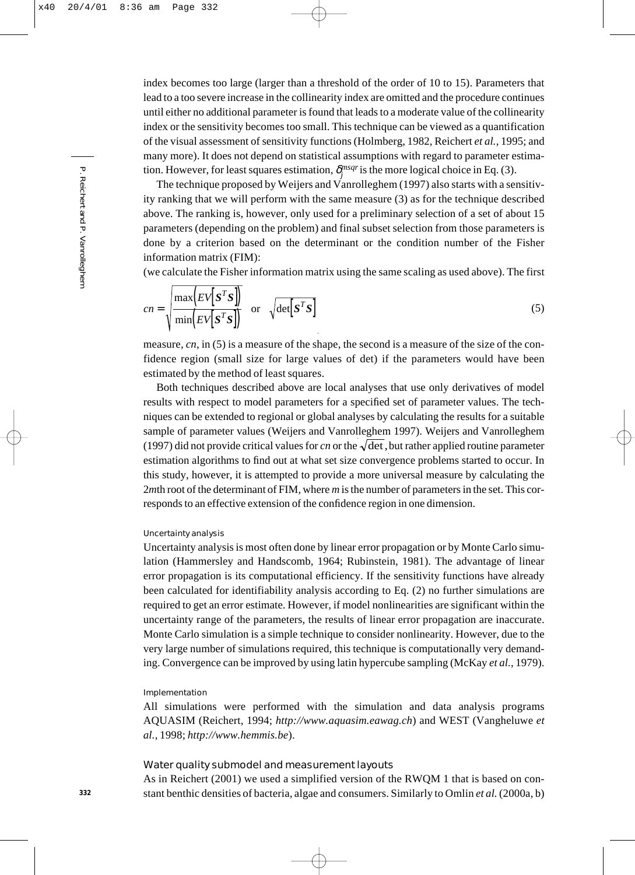index becomes too large (larger than a threshold of the order of 10 to 15). Parameters that lead to a too severe increase in the collinearity index are omitted and the procedure continues until either no additional parameter is found that leads to a moderate value of the collinearity index or the sensitivity becomes too small. This technique can be viewed as a quantification of the visual assessment of sensitivity functions (Holmberg, 1982, Reichert *et al.*, 1995; and many more). It does not depend on statistical assumptions with regard to parameter estimation. However, for least squares estimation,  $\delta_j^{msgr}$  is the more logical choice in Eq. (3).

The technique proposed by Weijers and Vanrolleghem (1997) also starts with a sensitivity ranking that we will perform with the same measure (3) as for the technique described above. The ranking is, however, only used for a preliminary selection of a set of about 15 parameters (depending on the problem) and final subset selection from those parameters is done by a criterion based on the determinant or the condition number of the Fisher information matrix (FIM):

(we calculate the Fisher information matrix using the same scaling as used above). The first

$$
cn = \sqrt{\frac{\max(EV[S^TS])}{\min(EV[S^TS])}}
$$
 or  $\sqrt{\det[S^TS]}$  (5)

measure, *cn*, in (5) is a measure of the shape, the second is a measure of the size of the confidence region (small size for large values of det) if the parameters would have been estimated by the method of least squares.

Both techniques described above are local analyses that use only derivatives of model results with respect to model parameters for a specified set of parameter values. The techniques can be extended to regional or global analyses by calculating the results for a suitable sample of parameter values (Weijers and Vanrolleghem 1997). Weijers and Vanrolleghem (1997) did not provide critical values for *cn* or the  $\sqrt{\det}$ , but rather applied routine parameter estimation algorithms to find out at what set size convergence problems started to occur. In this study, however, it is attempted to provide a more universal measure by calculating the 2*m*th root of the determinant of FIM, where *m* is the number of parameters in the set. This corresponds to an effective extension of the confidence region in one dimension.

## Uncertainty analysis

Uncertainty analysis is most often done by linear error propagation or by Monte Carlo simulation (Hammersley and Handscomb, 1964; Rubinstein, 1981). The advantage of linear error propagation is its computational efficiency. If the sensitivity functions have already been calculated for identifiability analysis according to Eq. (2) no further simulations are required to get an error estimate. However, if model nonlinearities are significant within the uncertainty range of the parameters, the results of linear error propagation are inaccurate. Monte Carlo simulation is a simple technique to consider nonlinearity. However, due to the very large number of simulations required, this technique is computationally very demanding. Convergence can be improved by using latin hypercube sampling (McKay *et al.*, 1979).

## Implementation

All simulations were performed with the simulation and data analysis programs AQUASIM (Reichert, 1994; *http://www.aquasim.eawag.ch*) and WEST (Vangheluwe *et al.*, 1998; *http://www.hemmis.be*).

#### Water quality submodel and measurement layouts

As in Reichert (2001) we used a simplified version of the RWQM 1 that is based on constant benthic densities of bacteria, algae and consumers. Similarly to Omlin *et al.* (2000a, b)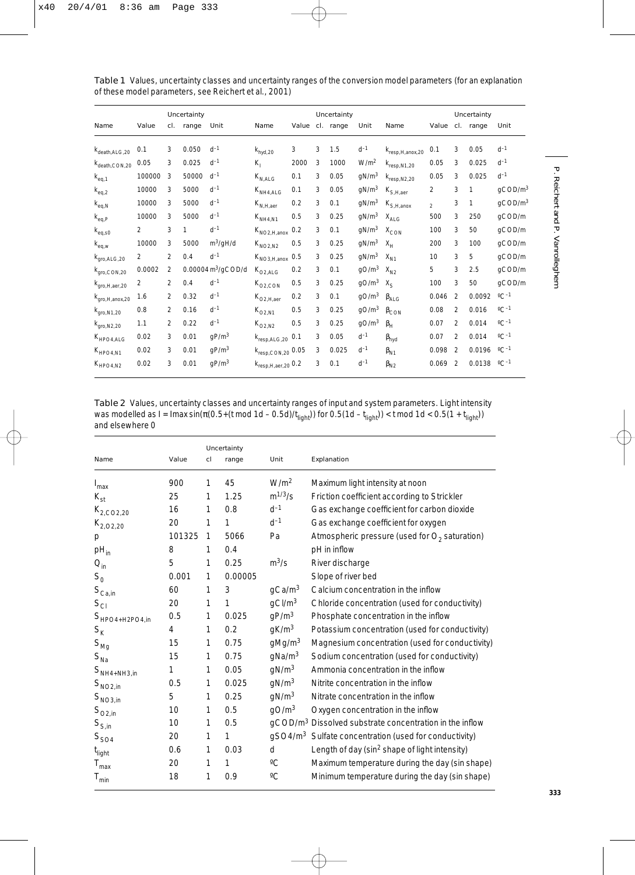|                                         |        | Uncertainty    |       |                                     |                                                             |      | Uncertainty |                 |                    |                                                    |                | Uncertainty    |                 |                            |  |
|-----------------------------------------|--------|----------------|-------|-------------------------------------|-------------------------------------------------------------|------|-------------|-----------------|--------------------|----------------------------------------------------|----------------|----------------|-----------------|----------------------------|--|
| Name                                    | Value  | cl.            | range | Unit                                | Name                                                        |      |             | Value cl. range | Unit               | Name                                               |                |                | Value cl. range | Unit                       |  |
| $k_{\text{death, ALG,20}}$              | 0.1    | 3              | 0.050 | $d^{-1}$                            | $k_{hyd,20}$                                                | 3    | 3           | 1.5             | $d^{-1}$           | K <sub>resp, H, anox, 20</sub>                     | 0.1            | 3              | 0.05            | $d^{-1}$                   |  |
| $k_{\text{death},\text{CON},20}$        | 0.05   | 3              | 0.025 | $d^{-1}$                            | $K_1$                                                       | 2000 | 3           | 1000            | W/m <sup>2</sup>   | $k_{resp, N1, 20}$                                 | 0.05           | 3              | 0.025           | $d^{-1}$                   |  |
| $k_{eq,1}$                              | 100000 | 3              | 50000 | $d^{-1}$                            | $K_{N,ALG}$                                                 | 0.1  | 3           | 0.05            | qN/m <sup>3</sup>  | $k_{resp, N2, 20}$                                 | 0.05           | 3              | 0.025           | $d^{-1}$                   |  |
| $\mathsf{k}_{\text{eq},2}$              | 10000  | 3              | 5000  | $d^{-1}$                            | $K_{NH4,ALG}$                                               | 0.1  | 3           | 0.05            | gN/m <sup>3</sup>  | $K_{S,H, \text{aer}}$                              | $\overline{2}$ | 3              | 1               | $g$ COD/m $3$              |  |
| $\mathsf{k}_{\text{eq},\text{N}}$       | 10000  | 3              | 5000  | $d^{-1}$                            | $K_{N,H, \text{aer}}$                                       | 0.2  | 3           | 0.1             | gN/m <sup>3</sup>  | $\mathsf{K}_{\mathsf{S},\mathsf{H},\mathsf{anox}}$ | $\mathfrak{D}$ | 3              | 1               | qCOD/m <sup>3</sup>        |  |
| $k_{eq,P}$                              | 10000  | 3              | 5000  | $d^{-1}$                            | $K_{NH4,N1}$                                                | 0.5  | 3           | 0.25            | qN/m <sup>3</sup>  | $X_{\text{ALG}}$                                   | 500            | 3              | 250             | gCOD/m                     |  |
| $k_{eq,s0}$                             | 2      | 3              | 1     | $d^{-1}$                            | $K_{NO2, H, anox}$                                          | 0.2  | 3           | 0.1             | $gN/m^3$ $X_{CON}$ |                                                    | 100            | 3              | 50              | qCOD/m                     |  |
| $k_{eq,w}$                              | 10000  | 3              | 5000  | $m^3$ /gH/d                         | $K_{NO2,N2}$                                                | 0.5  | 3           | 0.25            | gN/m <sup>3</sup>  | $X_{H}$                                            | 200            | 3              | 100             | qCOD/m                     |  |
| $K_{\text{qro},\text{ALG},20}$          | 2      | 2              | 0.4   | $d^{-1}$                            | $K_{NO3, H, anox}$                                          | 0.5  | 3           | 0.25            | gN/m <sup>3</sup>  | $X_{N1}$                                           | 10             | 3              | 5               | gCOD/m                     |  |
| $K_{\text{gro},\text{CON},20}$          | 0.0002 | 2              |       | $0.00004 \text{ m}^3/\text{gCDD/d}$ | $K_{O2,ALG}$                                                | 0.2  | 3           | 0.1             | gO/m <sup>3</sup>  | $X_{N2}$                                           | 5              | 3              | 2.5             | gCOD/m                     |  |
| $K_{\text{qro},\text{H,}\text{aer},20}$ | 2      | $\mathfrak{p}$ | 0.4   | $d^{-1}$                            | $\rm K_{O2,CON}$                                            | 0.5  | 3           | 0.25            | gO/m <sup>3</sup>  | $X_{S}$                                            | 100            | 3              | 50              | qCOD/m                     |  |
| Kgro, H, anox, 20                       | 1.6    | 2              | 0.32  | $d^{-1}$                            | $K_{O2, H, aer}$                                            | 0.2  | 3           | 0.1             | qO/m <sup>3</sup>  | $\beta_{ALG}$                                      | 0.046          | $\mathcal{P}$  | 0.0092          | $^{\circ}$ C <sup>-1</sup> |  |
| $k_{\text{qro,N1,20}}$                  | 0.8    | 2              | 0.16  | $d^{-1}$                            | $K_{O2,N1}$                                                 | 0.5  | 3           | 0.25            | qO/m <sup>3</sup>  | $\beta_{CON}$                                      | 0.08           | $\overline{2}$ | 0.016           | $\rm ^{o}C^{-1}$           |  |
| $k_{\text{qro,N2,20}}$                  | 1.1    | 2              | 0.22  | $d^{-1}$                            | $K_{O2,N2}$                                                 | 0.5  | 3           | 0.25            | gO/m <sup>3</sup>  | $\beta_H$                                          | 0.07           | $\mathfrak{D}$ | 0.014           | $^{\circ}$ C-1             |  |
| $K_{HPO4,ALG}$                          | 0.02   | 3              | 0.01  | qP/m <sup>3</sup>                   | $k_{resp, ALG, 20}$ 0.1                                     |      | 3           | 0.05            | $d^{-1}$           | $\beta_{\text{hyd}}$                               | 0.07           | $\mathfrak{D}$ | 0.014           | $\circ$ $C^{-1}$           |  |
| $K_{HPO4,N1}$                           | 0.02   | 3              | 0.01  | qP/m <sup>3</sup>                   | $\rm k_{resp,CON,20}$ 0.05                                  |      | 3           | 0.025           | $d^{-1}$           | $\beta_{N1}$                                       | 0.098          | $\overline{2}$ | 0.0196          | $^{\circ}$ C-1             |  |
| $K_{HPO4,N2}$                           | 0.02   | 3              | 0.01  | qP/m <sup>3</sup>                   | $\mathsf{K}_{\mathsf{resp},\mathsf{H},\mathsf{aer},20}$ 0.2 |      | 3           | 0.1             | $d^{-1}$           | $\beta_{N2}$                                       | 0.069          | $\overline{2}$ | 0.0138          | $\rm ^{o}C^{-1}$           |  |

Table 1 Values, uncertainty classes and uncertainty ranges of the conversion model parameters (for an explanation of these model parameters, see Reichert et al., 2001)

Table 2 Values, uncertainty classes and uncertainty ranges of input and system parameters. Light intensity was modelled as *I* = *I*max sin( $\pi$ (0.5+(*t* mod 1*d* – 0.5*d)*/ $t_{\sf light}$ )) for 0.5(1d –  $t_{\sf light}$ )) < *t* mod 1*d* < 0.5(1 +  $t_{\sf light}$ )) and elsewhere 0

|                      |        |    | Uncertainty  |                    |                                                                     |
|----------------------|--------|----|--------------|--------------------|---------------------------------------------------------------------|
| Name                 | Value  | cl | range        | Unit               | Explanation                                                         |
| $I_{\text{max}}$     | 900    | 1  | 45           | W/m <sup>2</sup>   | Maximum light intensity at noon                                     |
| $K_{\rm st}$         | 25     | 1  | 1.25         | $m^{1/3}/s$        | Friction coefficient according to Strickler                         |
| $K_{2,CO2,20}$       | 16     | 1  | 0.8          | $d^{-1}$           | Gas exchange coefficient for carbon dioxide                         |
| $K_{2,02,20}$        | 20     | 1  | 1            | $d^{-1}$           | Gas exchange coefficient for oxygen                                 |
| р                    | 101325 | 1  | 5066         | Pa                 | Atmospheric pressure (used for $O_2$ saturation)                    |
| $pH_{in}$            | 8      | 1  | 0.4          |                    | pH in inflow                                                        |
| $Q_{\rm in}$         | 5      | 1  | 0.25         | $m^3/s$            | River discharge                                                     |
| $S_0$                | 0.001  | 1  | 0.00005      |                    | Slope of river bed                                                  |
| $S_{\text{Ca,in}}$   | 60     | 1  | 3            | qCa/m <sup>3</sup> | Calcium concentration in the inflow                                 |
| $S_{CI}$             | 20     | 1  | $\mathbf{1}$ | gCl/m <sup>3</sup> | Chloride concentration (used for conductivity)                      |
| $S_{HPO4+H2PO4,in}$  | 0.5    | 1  | 0.025        | qP/m <sup>3</sup>  | Phosphate concentration in the inflow                               |
| $S_{\rm K}$          | 4      | 1  | 0.2          | qK/m <sup>3</sup>  | Potassium concentration (used for conductivity)                     |
| $S_{\text{Mg}}$      | 15     | 1  | 0.75         | qMq/m <sup>3</sup> | Magnesium concentration (used for conductivity)                     |
| $S_{\text{Na}}$      | 15     | 1  | 0.75         | $q$ Na/m $3$       | Sodium concentration (used for conductivity)                        |
| $S_{\rm NH4+NH3,in}$ | 1      | 1  | 0.05         | gN/m <sup>3</sup>  | Ammonia concentration in the inflow                                 |
| $S_{NO2,in}$         | 0.5    | 1  | 0.025        | gN/m <sup>3</sup>  | Nitrite concentration in the inflow                                 |
| $S_{\rm NO3,in}$     | 5      | 1  | 0.25         | qN/m <sup>3</sup>  | Nitrate concentration in the inflow                                 |
| $S_{O2,in}$          | 10     | 1  | 0.5          | qO/m <sup>3</sup>  | Oxygen concentration in the inflow                                  |
| $S_{S,in}$           | 10     | 1  | 0.5          |                    | gCOD/m <sup>3</sup> Dissolved substrate concentration in the inflow |
| $S_{SO4}$            | 20     | 1  | $\mathbf{1}$ |                    | gSO4/m <sup>3</sup> Sulfate concentration (used for conductivity)   |
| $t_{light}$          | 0.6    | 1  | 0.03         | d                  | Length of day (sin <sup>2</sup> shape of light intensity)           |
| $T_{\text{max}}$     | 20     | 1  | 1            | $^{\circ}C$        | Maximum temperature during the day (sin shape)                      |
| $T_{\text{min}}$     | 18     | 1  | 0.9          | $\rm ^{o}C$        | Minimum temperature during the day (sin shape)                      |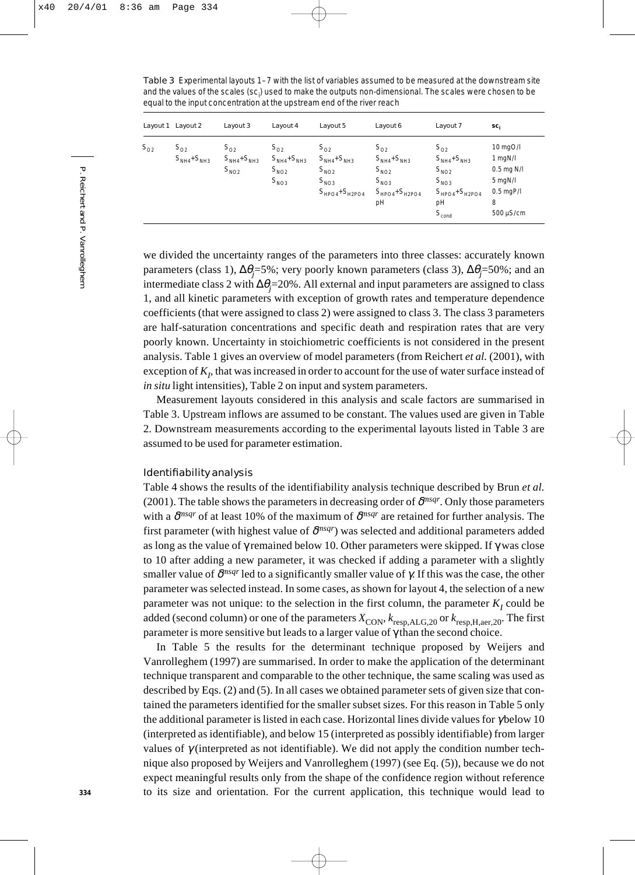Table 3 Experimental layouts 1–7 with the list of variables assumed to be measured at the downstream site and the values of the scales (sc<sub>i</sub>) used to make the outputs non-dimensional. The scales were chosen to be equal to the input concentration at the upstream end of the river reach

|          | Layout 1 Layout 2               | Layout 3                                          | Layout 4                                                  | Layout 5                                                                                 | Layout 6                                                                                 | Layout 7                                                                                                      | sc,                                                                                  |
|----------|---------------------------------|---------------------------------------------------|-----------------------------------------------------------|------------------------------------------------------------------------------------------|------------------------------------------------------------------------------------------|---------------------------------------------------------------------------------------------------------------|--------------------------------------------------------------------------------------|
| $S_{O2}$ | $S_{O2}$<br>$S_{NH4} + S_{NH3}$ | $S_{\Omega2}$<br>$S_{NH4} + S_{NH3}$<br>$S_{NO2}$ | $S_{02}$<br>$S_{NH4} + S_{NH3}$<br>$S_{NO2}$<br>$S_{NO3}$ | $S_{_{O2}}$<br>$S_{NH4} + S_{NH3}$<br>$S_{NO2}$<br>$S_{NQ3}$<br>$S_{HPO4}$ + $S_{H2PO4}$ | $S_{02}$<br>$S_{NH4} + S_{NH3}$<br>$S_{NO2}$<br>$S_{NO3}$<br>$S_{HPO4} + S_{HPO4}$<br>pH | $S_{O2}$<br>$S_{NH4} + S_{NH3}$<br>$S_{NO2}$<br>$S_{NO3}$<br>$S_{HPO4} + S_{HPO4}$<br>pH<br>$S_{\text{cond}}$ | 10 mgO/l<br>1 mgN/l<br>$0.5$ mg N/I<br>5 mgN/l<br>$0.5$ mgP/l<br>8<br>$500 \mu$ S/cm |

we divided the uncertainty ranges of the parameters into three classes: accurately known parameters (class 1), ∆θ*<sup>j</sup>* =5%; very poorly known parameters (class 3), ∆θ*<sup>j</sup>* =50%; and an intermediate class 2 with ∆θ*<sup>j</sup>* =20%. All external and input parameters are assigned to class 1, and all kinetic parameters with exception of growth rates and temperature dependence coefficients (that were assigned to class 2) were assigned to class 3. The class 3 parameters are half-saturation concentrations and specific death and respiration rates that are very poorly known. Uncertainty in stoichiometric coefficients is not considered in the present analysis. Table 1 gives an overview of model parameters (from Reichert *et al.* (2001), with exception of  $K_p$ , that was increased in order to account for the use of water surface instead of *in situ* light intensities), Table 2 on input and system parameters.

Measurement layouts considered in this analysis and scale factors are summarised in Table 3. Upstream inflows are assumed to be constant. The values used are given in Table 2. Downstream measurements according to the experimental layouts listed in Table 3 are assumed to be used for parameter estimation.

# Identifiability analysis

Table 4 shows the results of the identifiability analysis technique described by Brun *et al.* (2001). The table shows the parameters in decreasing order of  $\delta^{msgr}$ . Only those parameters with a δ*msqr* of at least 10% of the maximum of δ*msqr* are retained for further analysis. The first parameter (with highest value of  $\delta^{msgr}$ ) was selected and additional parameters added as long as the value of γ remained below 10. Other parameters were skipped. If γ was close to 10 after adding a new parameter, it was checked if adding a parameter with a slightly smaller value of  $\delta^{msgr}$  led to a significantly smaller value of  $\gamma$ . If this was the case, the other parameter was selected instead. In some cases, as shown for layout 4, the selection of a new parameter was not unique: to the selection in the first column, the parameter  $K<sub>t</sub>$  could be added (second column) or one of the parameters  $X_{\text{CON}}$ ,  $k_{\text{resp,ALG,20}}$  or  $k_{\text{resp,H,aer,20}}$ . The first parameter is more sensitive but leads to a larger value of  $\gamma$  than the second choice.

In Table 5 the results for the determinant technique proposed by Weijers and Vanrolleghem (1997) are summarised. In order to make the application of the determinant technique transparent and comparable to the other technique, the same scaling was used as described by Eqs. (2) and (5). In all cases we obtained parameter sets of given size that contained the parameters identified for the smaller subset sizes. For this reason in Table 5 only the additional parameter is listed in each case. Horizontal lines divide values for γ below 10 (interpreted as identifiable), and below 15 (interpreted as possibly identifiable) from larger values of  $\gamma$  (interpreted as not identifiable). We did not apply the condition number technique also proposed by Weijers and Vanrolleghem (1997) (see Eq. (5)), because we do not expect meaningful results only from the shape of the confidence region without reference to its size and orientation. For the current application, this technique would lead to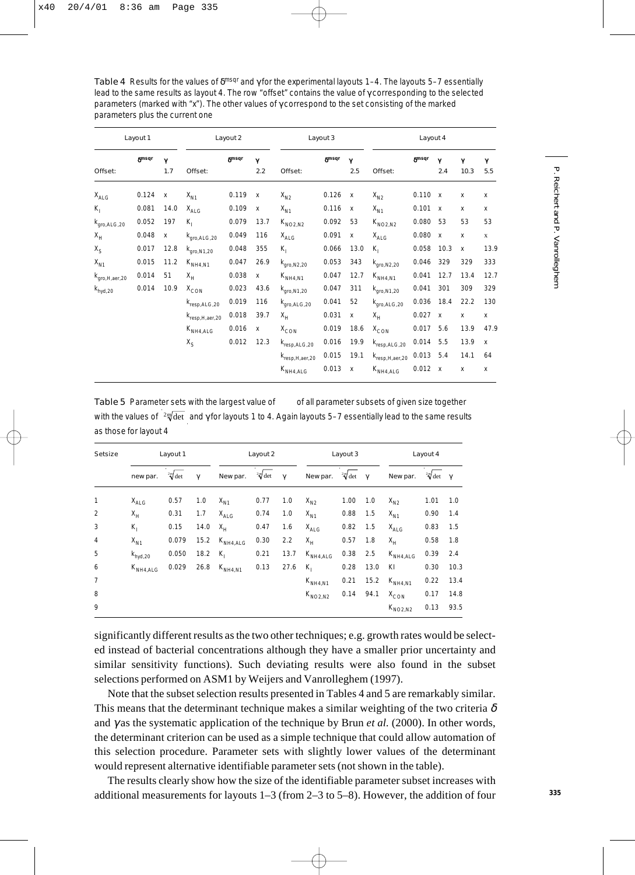Table 4 Results for the values of  $\delta^{\text{msqr}}$  and  $\gamma$  for the experimental layouts 1–4. The layouts 5–7 essentially lead to the same results as layout 4. The row "offset" contains the value of γ corresponding to the selected parameters (marked with "x"). The other values of γ correspond to the set consisting of the marked parameters plus the current one

| Layout 1                         |              |          | Layout 2                |              |          | Layout 3                       |              |              | Layout 4                |              |              |           |                           |  |
|----------------------------------|--------------|----------|-------------------------|--------------|----------|--------------------------------|--------------|--------------|-------------------------|--------------|--------------|-----------|---------------------------|--|
| Offset:                          | <b>Smsqr</b> | γ<br>1.7 | Offset:                 | <b>Smsqr</b> | γ<br>2.2 | Offset:                        | <b>Smsqr</b> | Y<br>2.5     | Offset:                 | <b>Smsqr</b> | γ<br>2.4     | γ<br>10.3 | γ<br>5.5                  |  |
| $X_{\text{Al G}}$                | 0.124        | X        | $X_{N1}$                | 0.119 x      |          | $X_{N2}$                       | 0.126 x      |              | $X_{N2}$                | 0.110 x      |              | X         | x                         |  |
| $K_1$                            | 0.081        | 14.0     | $X_{\text{Al G}}$       | 0.109        | X        | $X_{N1}$                       | 0.116        | $\mathbf{x}$ | $X_{N1}$                | 0.101 x      |              | X         | X                         |  |
| $k_{\text{qro},\text{ALG},20}$   | 0.052        | 197      | $K_1$                   | 0.079        | 13.7     | $K_{NO2.N2}$                   | 0.092        | 53           | $K_{NO2,N2}$            | 0.080 53     |              | 53        | 53                        |  |
| $X_{H}$                          | 0.048        | X        | $k_{\text{qro,ALG,20}}$ | 0.049        | 116      | $X_{\text{ALG}}$               | 0.091        | Х            | $X_{\text{ALG}}$        | 0.080 x      |              | X         | $\mathbf x$               |  |
| $X_{S}$                          | 0.017        | 12.8     | $k_{\text{gro,N1,20}}$  | 0.048        | 355      | K,                             | 0.066        | 13.0         | $K_{1}$                 | 0.058        | 10.3         | X         | 13.9                      |  |
| $X_{N1}$                         | 0.015        | 11.2     | $K_{NH4,N1}$            | 0.047        | 26.9     | $k_{\text{gro,N2,20}}$         | 0.053        | 343          | $k_{\text{qro,N2,20}}$  | 0.046        | 329          | 329       | 333                       |  |
| $k_{\text{qro},\text{H,aer},20}$ | 0.014        | 51       | $X_{H}$                 | 0.038        | X        | $K_{NH4,N1}$                   | 0.047        | 12.7         | $K_{NH4,N1}$            | 0.041        | 12.7         | 13.4      | 12.7                      |  |
| $k_{hyd,20}$                     | 0.014        | 10.9     | $X^{\text{CON}}$        | 0.023        | 43.6     | $k_{\text{qro,N1,20}}$         | 0.047        | 311          | $k_{\text{qro,N1,20}}$  | 0.041        | 301          | 309       | 329                       |  |
|                                  |              |          | $k_{resp, ALG, 20}$     | 0.019        | 116      | $k_{\text{qro},\text{ALG},20}$ | 0.041        | 52           | $k_{\text{qro,ALG,20}}$ | 0.036        | 18.4         | 22.2      | 130                       |  |
|                                  |              |          | $k_{resp,H, aer, 20}$   | 0.018        | 39.7     | $X_{H}$                        | 0.031        | Х            | $X_{H}$                 | 0.027        | $\mathsf{x}$ | X         | x                         |  |
|                                  |              |          | $K_{NH4,ALG}$           | 0.016        | X        | $X_{CON}$                      | 0.019        | 18.6         | $X_{CON}$               | 0.017        | 5.6          | 13.9      | 47.9                      |  |
|                                  |              |          | $X_{S}$                 | 0.012        | 12.3     | $k_{resp, ALG, 20}$            | 0.016        | 19.9         | $k_{resp,ALG,20}$       | $0.014$ 5.5  |              | 13.9      | $\boldsymbol{\mathsf{x}}$ |  |
|                                  |              |          |                         |              |          | $k_{resp,H, aer, 20}$          | 0.015        | 19.1         | $k_{resp, H, aer, 20}$  | $0.013$ 5.4  |              | 14.1      | 64                        |  |
|                                  |              |          |                         |              |          | $K_{NH4,ALG}$                  | 0.013        | Х            | $K_{NH4,ALG}$           | 0.012 x      |              | x         | x                         |  |

Table 5 Parameter sets with the largest value of of all parameter subsets of given size together with the values of <sup>2</sup> √det and γ for layouts 1 to 4. Again layouts 5–7 essentially lead to the same results as those for layout 4

| <b>Setsize</b> | Layout 1            |          |          |                  | Layout 2          |          | Layout 3          |          |          |                  | Layout 4          |          |  |  |
|----------------|---------------------|----------|----------|------------------|-------------------|----------|-------------------|----------|----------|------------------|-------------------|----------|--|--|
|                | new par.            | $2m$ det | $\gamma$ | New par.         | $\sqrt[2m]{\det}$ | $\gamma$ | New par.          | $2m$ det | $\gamma$ | New par.         | $\sqrt[2m]{\det}$ | $\gamma$ |  |  |
| 1              | $X_{\text{ALG}}$    | 0.57     | 1.0      | $X_{N1}$         | 0.77              | 1.0      | $X_{N2}$          | 1.00     | 1.0      | $X_{N2}$         | 1.01              | 1.0      |  |  |
| 2              | $X_{H}$             | 0.31     | 1.7      | $X_{\text{ALG}}$ | 0.74              | 1.0      | $X_{N1}$          | 0.88     | 1.5      | $X_{N1}$         | 0.90              | 1.4      |  |  |
| 3              | $K_1$               | 0.15     | 14.0     | $X_{H}$          | 0.47              | 1.6      | $X_{\text{Al G}}$ | 0.82     | 1.5      | $X_{\text{ALG}}$ | 0.83              | 1.5      |  |  |
| $\overline{4}$ | $X_{N1}$            | 0.079    | 15.2     | $K_{NH4,ALG}$    | 0.30              | 2.2      | $X_H$             | 0.57     | 1.8      | $X_H$            | 0.58              | 1.8      |  |  |
| 5              | $k_{\text{hvd},20}$ | 0.050    | 18.2     | $K_{1}$          | 0.21              | 13.7     | $K_{NH4,ALG}$     | 0.38     | 2.5      | $K_{NH4,ALG}$    | 0.39              | 2.4      |  |  |
| 6              | $K_{NH4,ALG}$       | 0.029    | 26.8     | $K_{NH4,N1}$     | 0.13              | 27.6     | $K_{1}$           | 0.28     | 13.0     | KI               | 0.30              | 10.3     |  |  |
| $\overline{7}$ |                     |          |          |                  |                   |          | $\rm K_{NH4,N1}$  | 0.21     | 15.2     | $K_{NH4,N1}$     | 0.22              | 13.4     |  |  |
| 8              |                     |          |          |                  |                   |          | $K_{NO2,N2}$      | 0.14     | 94.1     | $X_{CON}$        | 0.17              | 14.8     |  |  |
| 9              |                     |          |          |                  |                   |          |                   |          |          | $K_{NO2,N2}$     | 0.13              | 93.5     |  |  |

significantly different results as the two other techniques; e.g. growth rates would be selected instead of bacterial concentrations although they have a smaller prior uncertainty and similar sensitivity functions). Such deviating results were also found in the subset selections performed on ASM1 by Weijers and Vanrolleghem (1997).

Note that the subset selection results presented in Tables 4 and 5 are remarkably similar. This means that the determinant technique makes a similar weighting of the two criteria  $\delta$ and  $\gamma$  as the systematic application of the technique by Brun *et al.* (2000). In other words, the determinant criterion can be used as a simple technique that could allow automation of this selection procedure. Parameter sets with slightly lower values of the determinant would represent alternative identifiable parameter sets (not shown in the table).

The results clearly show how the size of the identifiable parameter subset increases with additional measurements for layouts 1–3 (from 2–3 to 5–8). However, the addition of four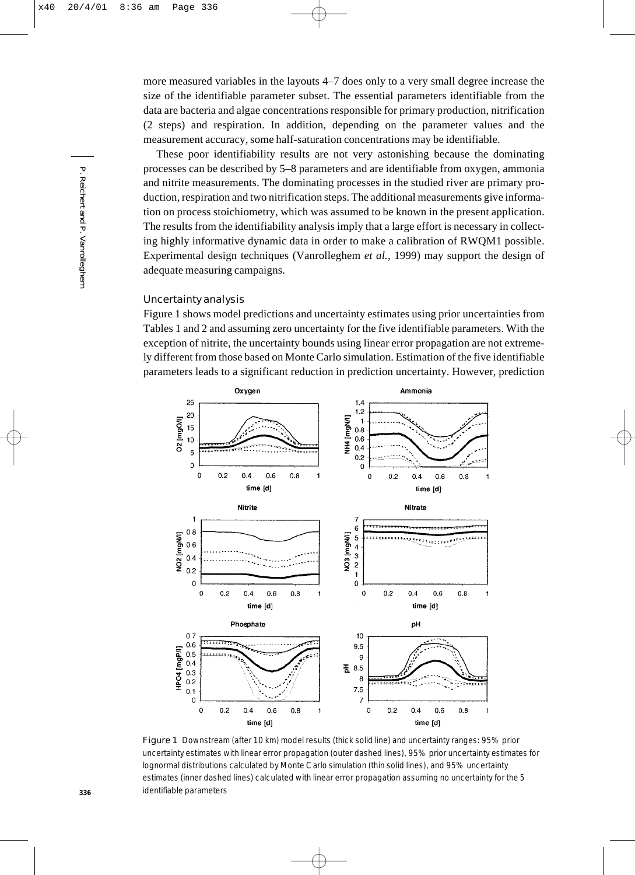more measured variables in the layouts 4–7 does only to a very small degree increase the size of the identifiable parameter subset. The essential parameters identifiable from the data are bacteria and algae concentrations responsible for primary production, nitrification (2 steps) and respiration. In addition, depending on the parameter values and the measurement accuracy, some half-saturation concentrations may be identifiable.

These poor identifiability results are not very astonishing because the dominating processes can be described by 5–8 parameters and are identifiable from oxygen, ammonia and nitrite measurements. The dominating processes in the studied river are primary production, respiration and two nitrification steps. The additional measurements give information on process stoichiometry, which was assumed to be known in the present application. The results from the identifiability analysis imply that a large effort is necessary in collecting highly informative dynamic data in order to make a calibration of RWQM1 possible. Experimental design techniques (Vanrolleghem *et al.*, 1999) may support the design of adequate measuring campaigns.

# Uncertainty analysis

Figure 1 shows model predictions and uncertainty estimates using prior uncertainties from Tables 1 and 2 and assuming zero uncertainty for the five identifiable parameters. With the exception of nitrite, the uncertainty bounds using linear error propagation are not extremely different from those based on Monte Carlo simulation. Estimation of the five identifiable parameters leads to a significant reduction in prediction uncertainty. However, prediction



Figure 1 Downstream (after 10 km) model results (thick solid line) and uncertainty ranges: 95% prior uncertainty estimates with linear error propagation (outer dashed lines), 95% prior uncertainty estimates for lognormal distributions calculated by Monte Carlo simulation (thin solid lines), and 95% uncertainty estimates (inner dashed lines) calculated with linear error propagation assuming no uncertainty for the 5 identifiable parameters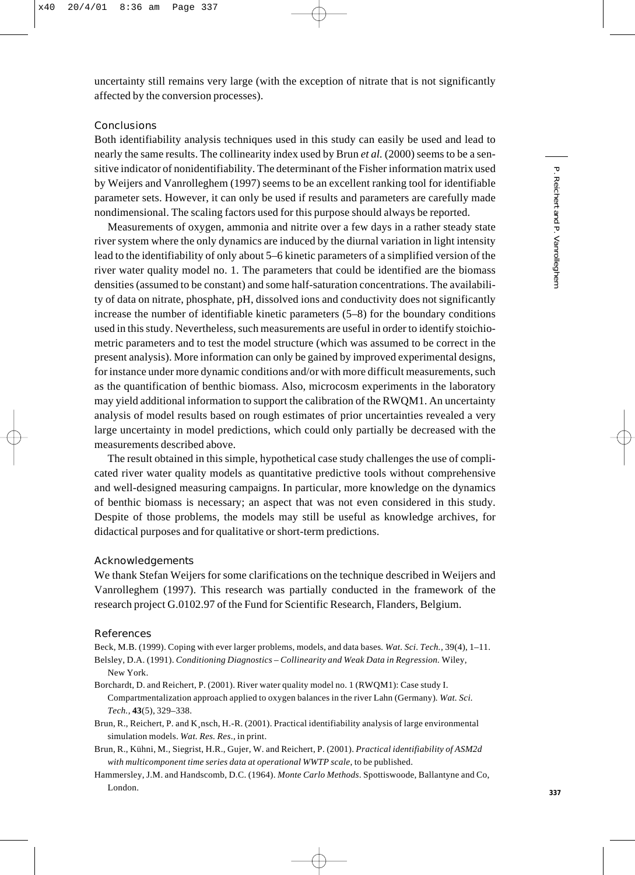uncertainty still remains very large (with the exception of nitrate that is not significantly affected by the conversion processes).

# Conclusions

Both identifiability analysis techniques used in this study can easily be used and lead to nearly the same results. The collinearity index used by Brun *et al.* (2000) seems to be a sensitive indicator of nonidentifiability. The determinant of the Fisher information matrix used by Weijers and Vanrolleghem (1997) seems to be an excellent ranking tool for identifiable parameter sets. However, it can only be used if results and parameters are carefully made nondimensional. The scaling factors used for this purpose should always be reported.

Measurements of oxygen, ammonia and nitrite over a few days in a rather steady state river system where the only dynamics are induced by the diurnal variation in light intensity lead to the identifiability of only about 5–6 kinetic parameters of a simplified version of the river water quality model no. 1. The parameters that could be identified are the biomass densities (assumed to be constant) and some half-saturation concentrations. The availability of data on nitrate, phosphate, pH, dissolved ions and conductivity does not significantly increase the number of identifiable kinetic parameters (5–8) for the boundary conditions used in this study. Nevertheless, such measurements are useful in order to identify stoichiometric parameters and to test the model structure (which was assumed to be correct in the present analysis). More information can only be gained by improved experimental designs, for instance under more dynamic conditions and/or with more difficult measurements, such as the quantification of benthic biomass. Also, microcosm experiments in the laboratory may yield additional information to support the calibration of the RWQM1. An uncertainty analysis of model results based on rough estimates of prior uncertainties revealed a very large uncertainty in model predictions, which could only partially be decreased with the measurements described above.

The result obtained in this simple, hypothetical case study challenges the use of complicated river water quality models as quantitative predictive tools without comprehensive and well-designed measuring campaigns. In particular, more knowledge on the dynamics of benthic biomass is necessary; an aspect that was not even considered in this study. Despite of those problems, the models may still be useful as knowledge archives, for didactical purposes and for qualitative or short-term predictions.

## Acknowledgements

We thank Stefan Weijers for some clarifications on the technique described in Weijers and Vanrolleghem (1997). This research was partially conducted in the framework of the research project G.0102.97 of the Fund for Scientific Research, Flanders, Belgium.

## References

Beck, M.B. (1999). Coping with ever larger problems, models, and data bases*. Wat. Sci. Tech.,* 39(4), 1–11.

Belsley, D.A. (1991). *Conditioning Diagnostics – Collinearity and Weak Data in Regression.* Wiley, New York.

- Borchardt, D. and Reichert, P. (2001). River water quality model no. 1 (RWQM1): Case study I. Compartmentalization approach applied to oxygen balances in the river Lahn (Germany)*. Wat. Sci. Tech.,* **43**(5), 329–338.
- Brun, R., Reichert, P. and K¸nsch, H.-R. (2001). Practical identifiability analysis of large environmental simulation models. *Wat. Res. Res*., in print.
- Brun, R., Kühni, M., Siegrist, H.R., Gujer, W. and Reichert, P. (2001). *Practical identifiability of ASM2d with multicomponent time series data at operational WWTP scale*, to be published.
- Hammersley, J.M. and Handscomb, D.C. (1964). *Monte Carlo Methods*. Spottiswoode, Ballantyne and Co, London.